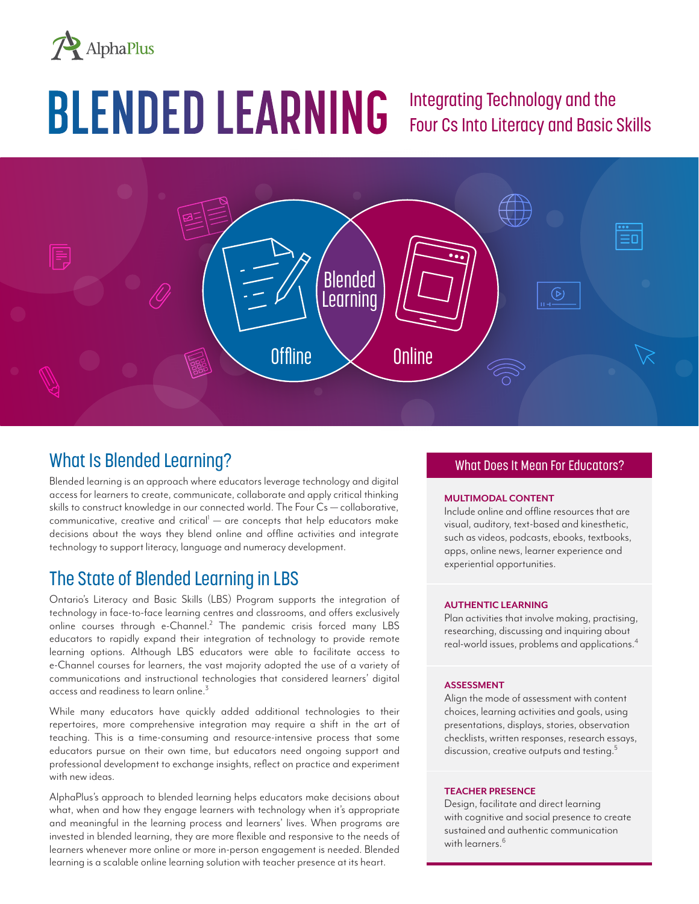

# **BLENDED LEARNING**

### Integrating Technology and the Four Cs Into Literacy and Basic Skills



#### What Is Blended Learning?

Blended learning is an approach where educators leverage technology and digital access for learners to create, communicate, collaborate and apply critical thinking skills to construct knowledge in our connected world. The Four Cs — collaborative, communicative, creative and critical<sup>1</sup> — are concepts that help educators make decisions about the ways they blend online and offline activities and integrate technology to support literacy, language and numeracy development.

#### The State of Blended Learning in LBS

Ontario's Literacy and Basic Skills (LBS) Program supports the integration of technology in face-to-face learning centres and classrooms, and offers exclusively online courses through e-Channel.<sup>2</sup> The pandemic crisis forced many LBS educators to rapidly expand their integration of technology to provide remote learning options. Although LBS educators were able to facilitate access to e-Channel courses for learners, the vast majority adopted the use of a variety of communications and instructional technologies that considered learners' digital access and readiness to learn online.<sup>3</sup>

While many educators have quickly added additional technologies to their repertoires, more comprehensive integration may require a shift in the art of teaching. This is a time-consuming and resource-intensive process that some educators pursue on their own time, but educators need ongoing support and professional development to exchange insights, reflect on practice and experiment with new ideas.

AlphaPlus's approach to blended learning helps educators make decisions about what, when and how they engage learners with technology when it's appropriate and meaningful in the learning process and learners' lives. When programs are invested in blended learning, they are more flexible and responsive to the needs of learners whenever more online or more in-person engagement is needed. Blended learning is a scalable online learning solution with teacher presence at its heart.

#### What Does It Mean For Educators?

#### **MULTIMODAL CONTENT**

Include online and offline resources that are visual, auditory, text-based and kinesthetic, such as videos, podcasts, ebooks, textbooks, apps, online news, learner experience and experiential opportunities.

#### **AUTHENTIC LEARNING**

Plan activities that involve making, practising, researching, discussing and inquiring about real-world issues, problems and applications.<sup>4</sup>

#### **ASSESSMENT**

Align the mode of assessment with content choices, learning activities and goals, using presentations, displays, stories, observation checklists, written responses, research essays, discussion, creative outputs and testing.<sup>5</sup>

#### **TEACHER PRESENCE**

Design, facilitate and direct learning with cognitive and social presence to create sustained and authentic communication with learners.<sup>6</sup>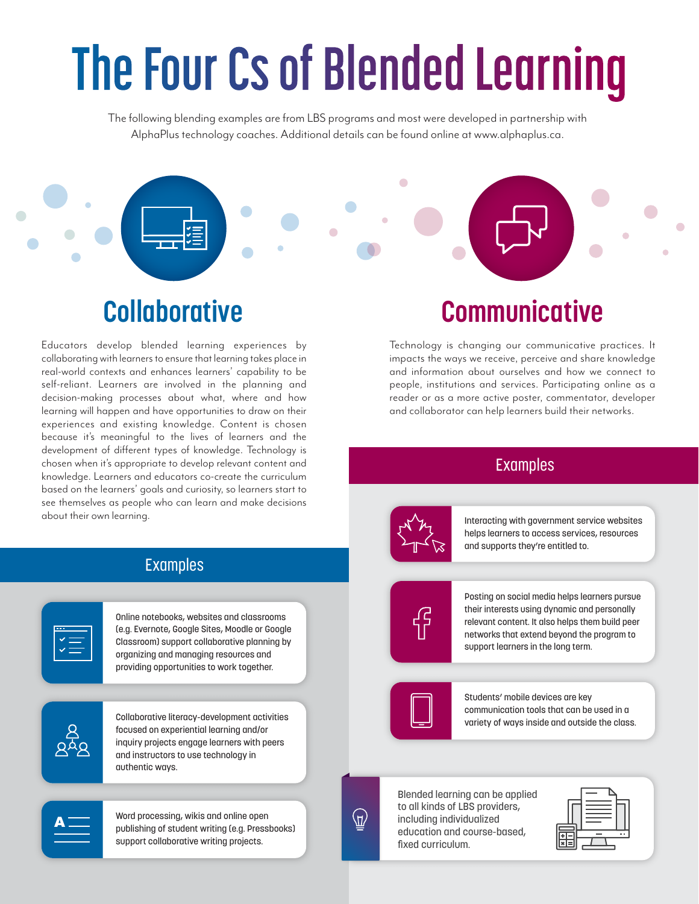# The Four Cs of Blended Learning

The following blending examples are from LBS programs and most were developed in partnership with AlphaPlus technology coaches. Additional details can be found online at www.alphaplus.ca.

 $\bullet$ 

# **Collaborative**

Educators develop blended learning experiences by collaborating with learners to ensure that learning takes place in real-world contexts and enhances learners' capability to be self-reliant. Learners are involved in the planning and decision-making processes about what, where and how learning will happen and have opportunities to draw on their experiences and existing knowledge. Content is chosen because it's meaningful to the lives of learners and the development of different types of knowledge. Technology is chosen when it's appropriate to develop relevant content and knowledge. Learners and educators co-create the curriculum based on the learners' goals and curiosity, so learners start to see themselves as people who can learn and make decisions about their own learning.

#### Examples

Online notebooks, websites and classrooms (e.g. Evernote, Google Sites, Moodle or Google Classroom) support collaborative planning by organizing and managing resources and providing opportunities to work together.



Collaborative literacy-development activities focused on experiential learning and/or inquiry projects engage learners with peers and instructors to use technology in authentic ways.

Word processing, wikis and online open publishing of student writing (e.g. Pressbooks) support collaborative writing projects.

# **Communicative**

Technology is changing our communicative practices. It impacts the ways we receive, perceive and share knowledge and information about ourselves and how we connect to people, institutions and services. Participating online as a reader or as a more active poster, commentator, developer and collaborator can help learners build their networks.

#### Examples

Interacting with government service websites helps learners to access services, resources and supports they're entitled to.

Posting on social media helps learners pursue their interests using dynamic and personally relevant content. It also helps them build peer networks that extend beyond the program to support learners in the long term.



Students' mobile devices are key communication tools that can be used in a variety of ways inside and outside the class.



Blended learning can be applied to all kinds of LBS providers, including individualized education and course-based, fixed curriculum.

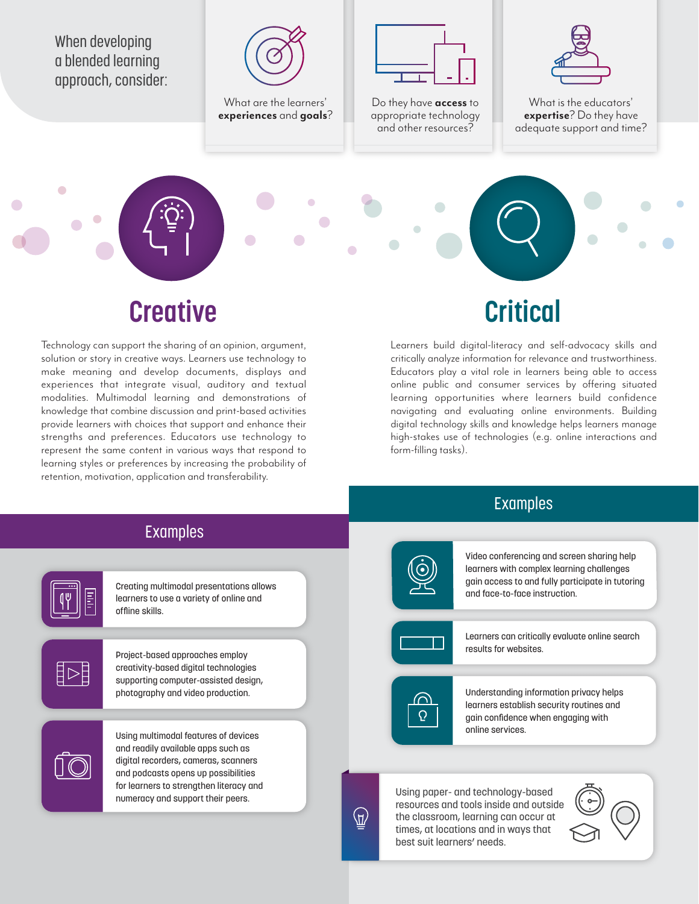When developing a blended learning approach, consider:

 $\sqrt{2}$ 



What are the learners' **experiences** and **goals**?



Do they have **access** to appropriate technology and other resources?



What is the educators' **expertise**? Do they have adequate support and time?

### **Creative**

Technology can support the sharing of an opinion, argument, solution or story in creative ways. Learners use technology to make meaning and develop documents, displays and experiences that integrate visual, auditory and textual modalities. Multimodal learning and demonstrations of knowledge that combine discussion and print-based activities provide learners with choices that support and enhance their strengths and preferences. Educators use technology to represent the same content in various ways that respond to learning styles or preferences by increasing the probability of retention, motivation, application and transferability.

## **Critical**

Learners build digital-literacy and self-advocacy skills and critically analyze information for relevance and trustworthiness. Educators play a vital role in learners being able to access online public and consumer services by offering situated learning opportunities where learners build confidence navigating and evaluating online environments. Building digital technology skills and knowledge helps learners manage high-stakes use of technologies (e.g. online interactions and form-filling tasks).

#### Examples